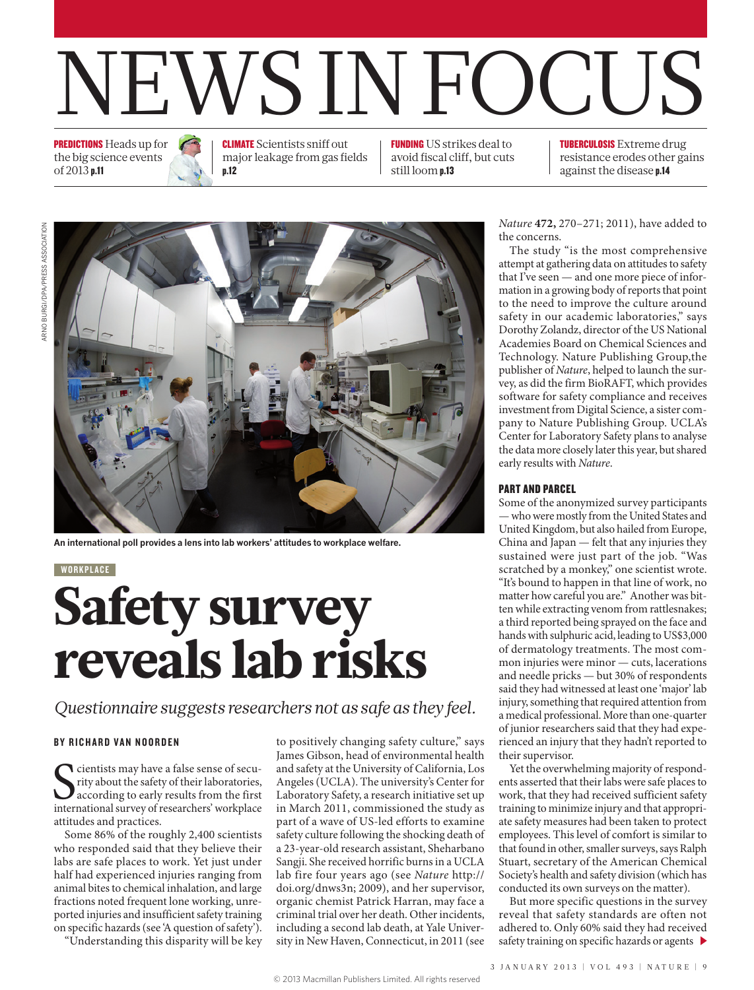

PREDICTIONS Heads up for the big science events of 2013 p.11

#### CLIMATE Scientists sniff out major leakage from gas fields p.12

FUNDING US strikes deal to avoid fiscal cliff, but cuts still loom p.13

TUBERCULOSIS Extreme drug resistance erodes other gains against the disease p.14



**An international poll provides a lens into lab workers' attitudes to workplace welfare.**

#### WORKPLACE

# Safety survey reveals lab risks

### *Questionnaire suggests researchers not as safe as they feel.*

#### BY RICHARD VAN NOORDEN

Significant way have a false sense of security about the safety of their laboratories, according to early results from the first international survey of researchers' workplace cientists may have a false sense of security about the safety of their laboratories, **J** according to early results from the first attitudes and practices.

Some 86% of the roughly 2,400 scientists who responded said that they believe their labs are safe places to work. Yet just under half had experienced injuries ranging from animal bites to chemical inhalation, and large fractions noted frequent lone working, unreported injuries and insufficient safety training on specific hazards (see 'A question of safety').

"Understanding this disparity will be key

to positively changing safety culture," says James Gibson, head of environmental health and safety at the University of California, Los Angeles (UCLA). The university's Center for Laboratory Safety, a research initiative set up in March 2011, commissioned the study as part of a wave of US-led efforts to examine safety culture following the shocking death of a 23-year-old research assistant, Sheharbano Sangji. She received horrific burns in a UCLA lab fire four years ago (see *Nature* http:// doi.org/dnws3n; 2009), and her supervisor, organic chemist Patrick Harran, may face a criminal trial over her death. Other incidents, including a second lab death, at Yale University in New Haven, Connecticut, in 2011 (see *Nature* **472,** 270–271; 2011), have added to the concerns.

The study "is the most comprehensive attempt at gathering data on attitudes to safety that I've seen — and one more piece of information in a growing body of reports that point to the need to improve the culture around safety in our academic laboratories," says Dorothy Zolandz, director of the US National Academies Board on Chemical Sciences and Technology. Nature Publishing Group,the publisher of *Nature*, helped to launch the survey, as did the firm BioRAFT, which provides software for safety compliance and receives investment from Digital Science, a sister company to Nature Publishing Group. UCLA's Center for Laboratory Safety plans to analyse the data more closely later this year, but shared early results with *Nature*.

#### PART AND PARCEL

Some of the anonymized survey participants — who were mostly from the United States and United Kingdom, but also hailed from Europe, China and Japan — felt that any injuries they sustained were just part of the job. "Was scratched by a monkey," one scientist wrote. "It's bound to happen in that line of work, no matter how careful you are." Another was bitten while extracting venom from rattlesnakes; a third reported being sprayed on the face and hands with sulphuric acid, leading to US\$3,000 of dermatology treatments. The most common injuries were minor — cuts, lacerations and needle pricks — but 30% of respondents said they had witnessed at least one 'major' lab injury, something that required attention from a medical professional. More than one-quarter of junior researchers said that they had experienced an injury that they hadn't reported to their supervisor.

Yet the overwhelming majority of respondents asserted that their labs were safe places to work, that they had received sufficient safety training to minimize injury and that appropriate safety measures had been taken to protect employees. This level of comfort is similar to that found in other, smaller surveys, says Ralph Stuart, secretary of the American Chemical Society's health and safety division (which has conducted its own surveys on the matter).

But more specific questions in the survey reveal that safety standards are often not adhered to. Only 60% said they had received safety training on specific hazards or agents  $\blacktriangleright$